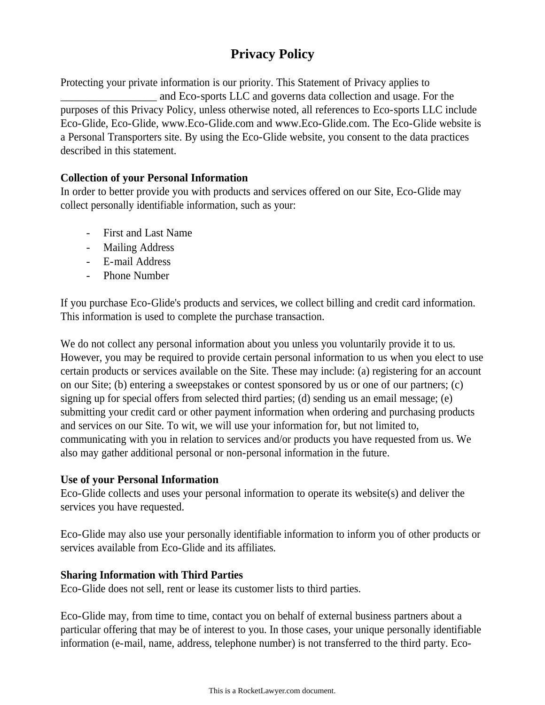# **Privacy Policy**

Protecting your private information is our priority. This Statement of Privacy applies to and Eco-sports LLC and governs data collection and usage. For the purposes of this Privacy Policy, unless otherwise noted, all references to Eco-sports LLC include Eco-Glide, Eco-Glide, www.Eco-Glide.com and www.Eco-Glide.com. The Eco-Glide website is a Personal Transporters site. By using the Eco-Glide website, you consent to the data practices described in this statement.

# **Collection of your Personal Information**

In order to better provide you with products and services offered on our Site, Eco-Glide may collect personally identifiable information, such as your:

- First and Last Name
- Mailing Address
- E-mail Address
- Phone Number

If you purchase Eco-Glide's products and services, we collect billing and credit card information. This information is used to complete the purchase transaction.

We do not collect any personal information about you unless you voluntarily provide it to us. However, you may be required to provide certain personal information to us when you elect to use certain products or services available on the Site. These may include: (a) registering for an account on our Site; (b) entering a sweepstakes or contest sponsored by us or one of our partners; (c) signing up for special offers from selected third parties; (d) sending us an email message; (e) submitting your credit card or other payment information when ordering and purchasing products and services on our Site. To wit, we will use your information for, but not limited to, communicating with you in relation to services and/or products you have requested from us. We also may gather additional personal or non-personal information in the future.

# **Use of your Personal Information**

Eco-Glide collects and uses your personal information to operate its website(s) and deliver the services you have requested.

Eco-Glide may also use your personally identifiable information to inform you of other products or services available from Eco-Glide and its affiliates.

# **Sharing Information with Third Parties**

Eco-Glide does not sell, rent or lease its customer lists to third parties.

Eco-Glide may, from time to time, contact you on behalf of external business partners about a particular offering that may be of interest to you. In those cases, your unique personally identifiable information (e-mail, name, address, telephone number) is not transferred to the third party. Eco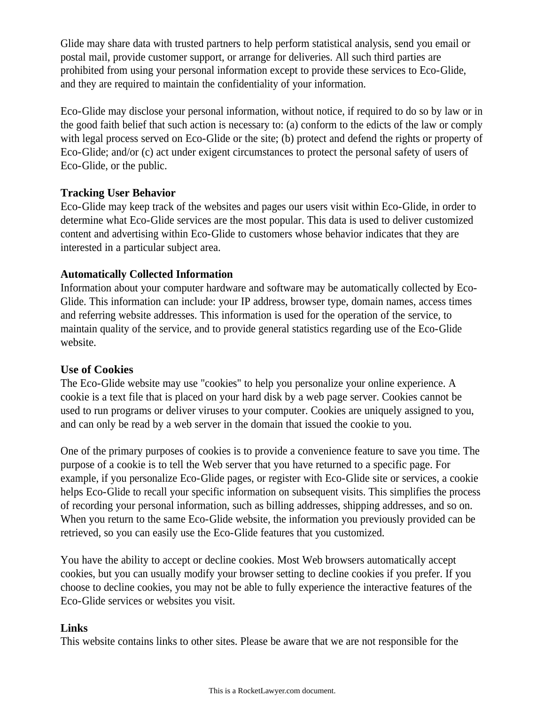Glide may share data with trusted partners to help perform statistical analysis, send you email or postal mail, provide customer support, or arrange for deliveries. All such third parties are prohibited from using your personal information except to provide these services to Eco-Glide, and they are required to maintain the confidentiality of your information.

Eco-Glide may disclose your personal information, without notice, if required to do so by law or in the good faith belief that such action is necessary to: (a) conform to the edicts of the law or comply with legal process served on Eco-Glide or the site; (b) protect and defend the rights or property of Eco-Glide; and/or (c) act under exigent circumstances to protect the personal safety of users of Eco-Glide, or the public.

## **Tracking User Behavior**

Eco-Glide may keep track of the websites and pages our users visit within Eco-Glide, in order to determine what Eco-Glide services are the most popular. This data is used to deliver customized content and advertising within Eco-Glide to customers whose behavior indicates that they are interested in a particular subject area.

# **Automatically Collected Information**

Information about your computer hardware and software may be automatically collected by Eco-Glide. This information can include: your IP address, browser type, domain names, access times and referring website addresses. This information is used for the operation of the service, to maintain quality of the service, and to provide general statistics regarding use of the Eco-Glide website.

## **Use of Cookies**

The Eco-Glide website may use "cookies" to help you personalize your online experience. A cookie is a text file that is placed on your hard disk by a web page server. Cookies cannot be used to run programs or deliver viruses to your computer. Cookies are uniquely assigned to you, and can only be read by a web server in the domain that issued the cookie to you.

One of the primary purposes of cookies is to provide a convenience feature to save you time. The purpose of a cookie is to tell the Web server that you have returned to a specific page. For example, if you personalize Eco-Glide pages, or register with Eco-Glide site or services, a cookie helps Eco-Glide to recall your specific information on subsequent visits. This simplifies the process of recording your personal information, such as billing addresses, shipping addresses, and so on. When you return to the same Eco-Glide website, the information you previously provided can be retrieved, so you can easily use the Eco-Glide features that you customized.

You have the ability to accept or decline cookies. Most Web browsers automatically accept cookies, but you can usually modify your browser setting to decline cookies if you prefer. If you choose to decline cookies, you may not be able to fully experience the interactive features of the Eco-Glide services or websites you visit.

## **Links**

This website contains links to other sites. Please be aware that we are not responsible for the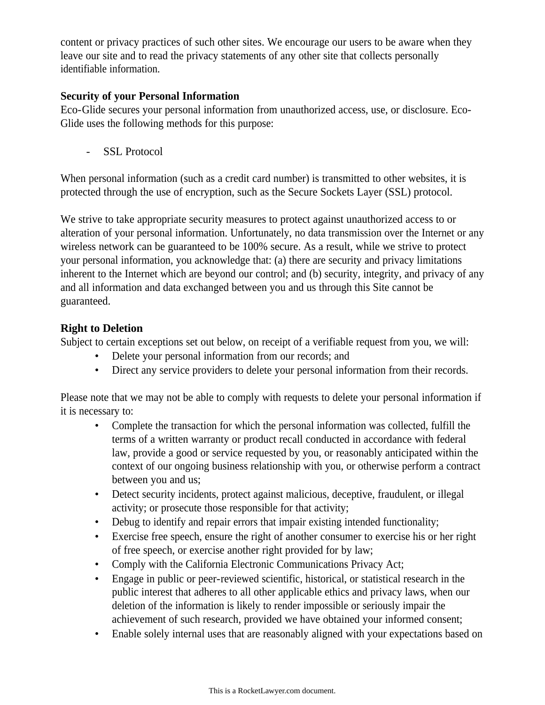content or privacy practices of such other sites. We encourage our users to be aware when they leave our site and to read the privacy statements of any other site that collects personally identifiable information.

# **Security of your Personal Information**

Eco-Glide secures your personal information from unauthorized access, use, or disclosure. Eco-Glide uses the following methods for this purpose:

SSL Protocol

When personal information (such as a credit card number) is transmitted to other websites, it is protected through the use of encryption, such as the Secure Sockets Layer (SSL) protocol.

We strive to take appropriate security measures to protect against unauthorized access to or alteration of your personal information. Unfortunately, no data transmission over the Internet or any wireless network can be guaranteed to be 100% secure. As a result, while we strive to protect your personal information, you acknowledge that: (a) there are security and privacy limitations inherent to the Internet which are beyond our control; and (b) security, integrity, and privacy of any and all information and data exchanged between you and us through this Site cannot be guaranteed.

# **Right to Deletion**

Subject to certain exceptions set out below, on receipt of a verifiable request from you, we will:

- Delete your personal information from our records; and
- Direct any service providers to delete your personal information from their records.

Please note that we may not be able to comply with requests to delete your personal information if it is necessary to:

- Complete the transaction for which the personal information was collected, fulfill the terms of a written warranty or product recall conducted in accordance with federal law, provide a good or service requested by you, or reasonably anticipated within the context of our ongoing business relationship with you, or otherwise perform a contract between you and us;
- Detect security incidents, protect against malicious, deceptive, fraudulent, or illegal activity; or prosecute those responsible for that activity;
- Debug to identify and repair errors that impair existing intended functionality;
- Exercise free speech, ensure the right of another consumer to exercise his or her right of free speech, or exercise another right provided for by law;
- Comply with the California Electronic Communications Privacy Act;
- Engage in public or peer-reviewed scientific, historical, or statistical research in the public interest that adheres to all other applicable ethics and privacy laws, when our deletion of the information is likely to render impossible or seriously impair the achievement of such research, provided we have obtained your informed consent;
- Enable solely internal uses that are reasonably aligned with your expectations based on